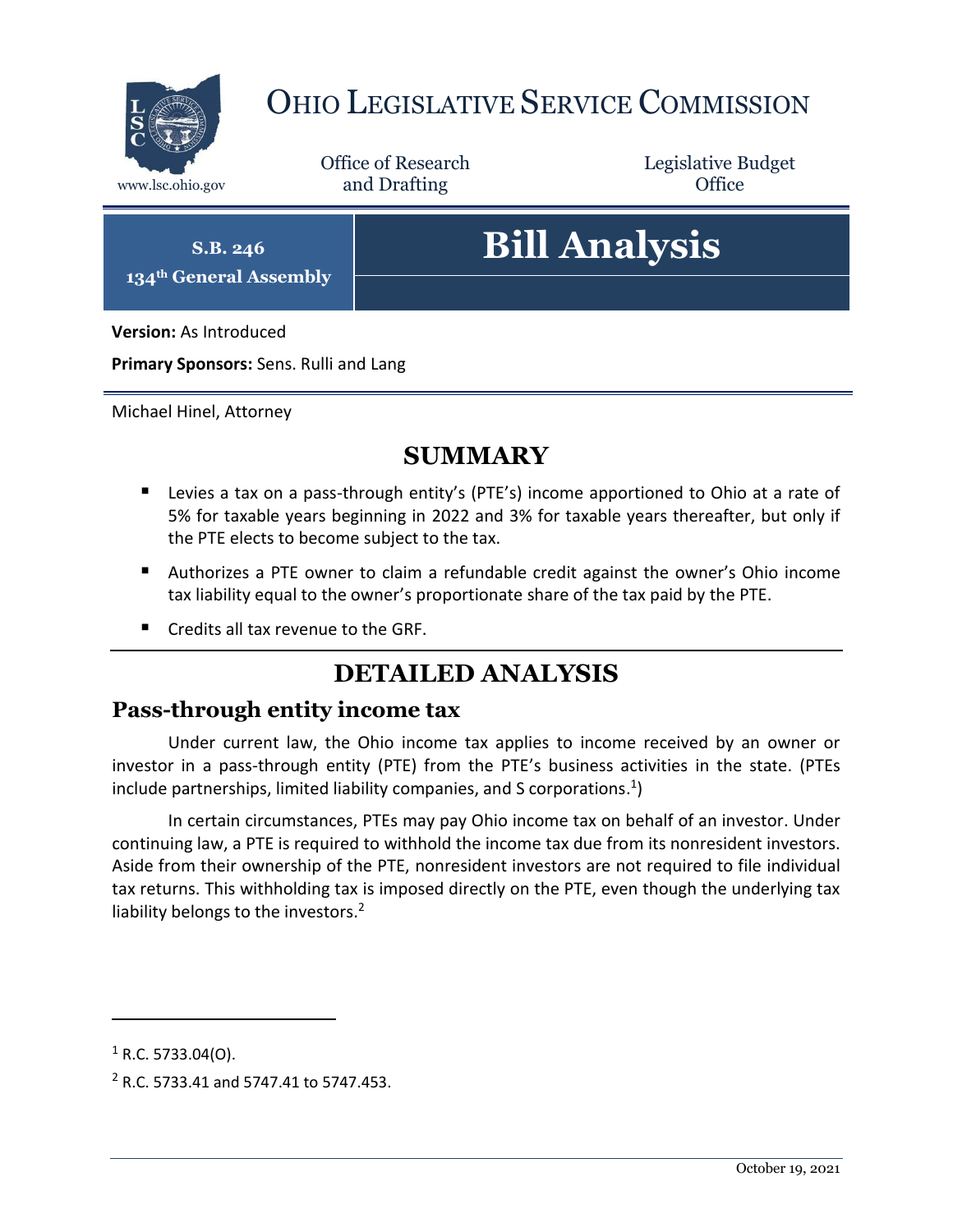

## OHIO LEGISLATIVE SERVICE COMMISSION

Office of Research www.lsc.ohio.gov **and Drafting Office** 

Legislative Budget

**S.B. 246**

**134th General Assembly**

# **Bill Analysis**

**Version:** As Introduced

**Primary Sponsors:** Sens. Rulli and Lang

Michael Hinel, Attorney

### **SUMMARY**

- Levies a tax on a pass-through entity's (PTE's) income apportioned to Ohio at a rate of 5% for taxable years beginning in 2022 and 3% for taxable years thereafter, but only if the PTE elects to become subject to the tax.
- Authorizes a PTE owner to claim a refundable credit against the owner's Ohio income tax liability equal to the owner's proportionate share of the tax paid by the PTE.
- Credits all tax revenue to the GRF.

## **DETAILED ANALYSIS**

#### **Pass-through entity income tax**

Under current law, the Ohio income tax applies to income received by an owner or investor in a pass-through entity (PTE) from the PTE's business activities in the state. (PTEs include partnerships, limited liability companies, and S corporations.<sup>1</sup>)

In certain circumstances, PTEs may pay Ohio income tax on behalf of an investor. Under continuing law, a PTE is required to withhold the income tax due from its nonresident investors. Aside from their ownership of the PTE, nonresident investors are not required to file individual tax returns. This withholding tax is imposed directly on the PTE, even though the underlying tax liability belongs to the investors.<sup>2</sup>

 $\overline{a}$ 

 $1$  R.C. 5733.04(O).

<sup>2</sup> R.C. 5733.41 and 5747.41 to 5747.453.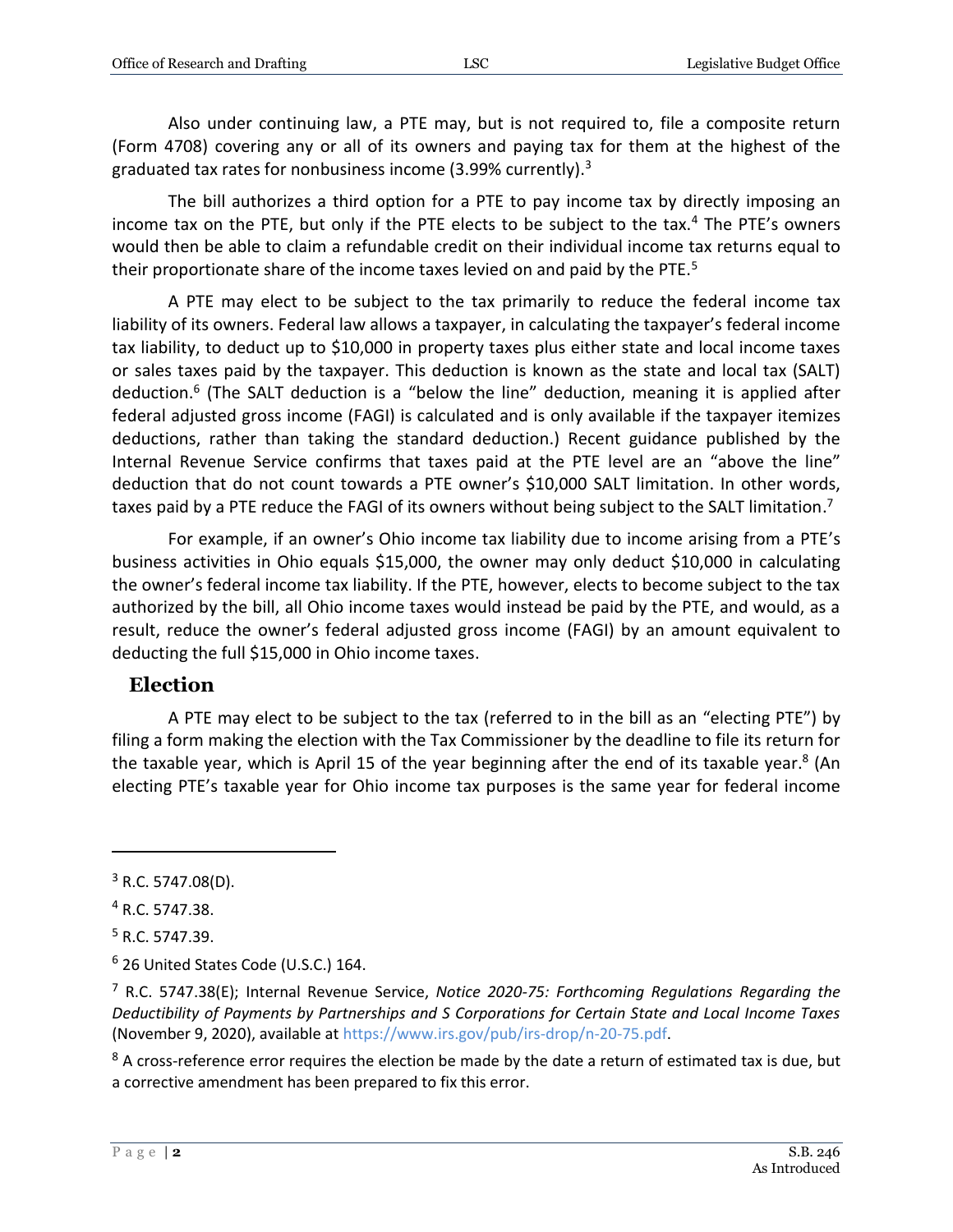Also under continuing law, a PTE may, but is not required to, file a composite return (Form 4708) covering any or all of its owners and paying tax for them at the highest of the graduated tax rates for nonbusiness income (3.99% currently).<sup>3</sup>

The bill authorizes a third option for a PTE to pay income tax by directly imposing an income tax on the PTE, but only if the PTE elects to be subject to the tax.<sup>4</sup> The PTE's owners would then be able to claim a refundable credit on their individual income tax returns equal to their proportionate share of the income taxes levied on and paid by the PTE.<sup>5</sup>

A PTE may elect to be subject to the tax primarily to reduce the federal income tax liability of its owners. Federal law allows a taxpayer, in calculating the taxpayer's federal income tax liability, to deduct up to \$10,000 in property taxes plus either state and local income taxes or sales taxes paid by the taxpayer. This deduction is known as the state and local tax (SALT) deduction.<sup>6</sup> (The SALT deduction is a "below the line" deduction, meaning it is applied after federal adjusted gross income (FAGI) is calculated and is only available if the taxpayer itemizes deductions, rather than taking the standard deduction.) Recent guidance published by the Internal Revenue Service confirms that taxes paid at the PTE level are an "above the line" deduction that do not count towards a PTE owner's \$10,000 SALT limitation. In other words, taxes paid by a PTE reduce the FAGI of its owners without being subject to the SALT limitation.<sup>7</sup>

For example, if an owner's Ohio income tax liability due to income arising from a PTE's business activities in Ohio equals \$15,000, the owner may only deduct \$10,000 in calculating the owner's federal income tax liability. If the PTE, however, elects to become subject to the tax authorized by the bill, all Ohio income taxes would instead be paid by the PTE, and would, as a result, reduce the owner's federal adjusted gross income (FAGI) by an amount equivalent to deducting the full \$15,000 in Ohio income taxes.

#### **Election**

A PTE may elect to be subject to the tax (referred to in the bill as an "electing PTE") by filing a form making the election with the Tax Commissioner by the deadline to file its return for the taxable year, which is April 15 of the year beginning after the end of its taxable year.<sup>8</sup> (An electing PTE's taxable year for Ohio income tax purposes is the same year for federal income

 $\overline{a}$ 

 $8$  A cross-reference error requires the election be made by the date a return of estimated tax is due, but a corrective amendment has been prepared to fix this error.

 $3$  R.C. 5747.08(D).

<sup>4</sup> R.C. 5747.38.

<sup>5</sup> R.C. 5747.39.

<sup>6</sup> 26 United States Code (U.S.C.) 164.

<sup>7</sup> R.C. 5747.38(E); Internal Revenue Service, *Notice 2020-75: Forthcoming Regulations Regarding the Deductibility of Payments by Partnerships and S Corporations for Certain State and Local Income Taxes* (November 9, 2020), available at [https://www.irs.gov/pub/irs-drop/n-20-75.pdf.](https://www.irs.gov/pub/irs-drop/n-20-75.pdf)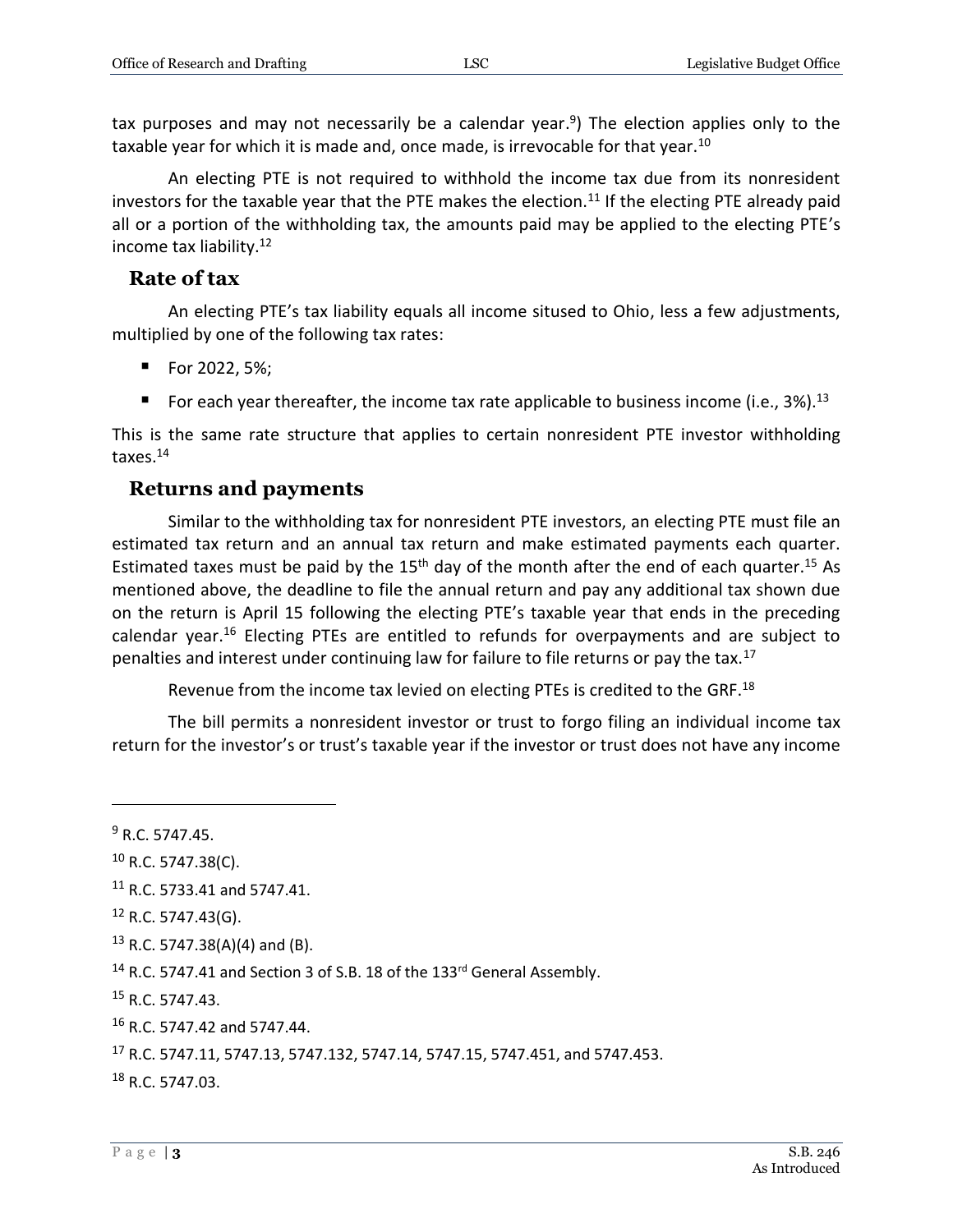tax purposes and may not necessarily be a calendar year.<sup>9</sup>) The election applies only to the taxable year for which it is made and, once made, is irrevocable for that year.<sup>10</sup>

An electing PTE is not required to withhold the income tax due from its nonresident investors for the taxable year that the PTE makes the election.<sup>11</sup> If the electing PTE already paid all or a portion of the withholding tax, the amounts paid may be applied to the electing PTE's income tax liability.<sup>12</sup>

#### **Rate of tax**

An electing PTE's tax liability equals all income sitused to Ohio, less a few adjustments, multiplied by one of the following tax rates:

- For 2022, 5%;
- For each year thereafter, the income tax rate applicable to business income (i.e.,  $3\%$ ).<sup>13</sup>

This is the same rate structure that applies to certain nonresident PTE investor withholding taxes. 14

#### **Returns and payments**

Similar to the withholding tax for nonresident PTE investors, an electing PTE must file an estimated tax return and an annual tax return and make estimated payments each quarter. Estimated taxes must be paid by the  $15<sup>th</sup>$  day of the month after the end of each quarter.<sup>15</sup> As mentioned above, the deadline to file the annual return and pay any additional tax shown due on the return is April 15 following the electing PTE's taxable year that ends in the preceding calendar year.<sup>16</sup> Electing PTEs are entitled to refunds for overpayments and are subject to penalties and interest under continuing law for failure to file returns or pay the tax.<sup>17</sup>

Revenue from the income tax levied on electing PTEs is credited to the GRF.<sup>18</sup>

The bill permits a nonresident investor or trust to forgo filing an individual income tax return for the investor's or trust's taxable year if the investor or trust does not have any income

 $\overline{a}$ 

 $9$  R.C. 5747.45.

 $10$  R.C. 5747.38(C).

<sup>&</sup>lt;sup>11</sup> R.C. 5733.41 and 5747.41.

 $12$  R.C. 5747.43(G).

 $13$  R.C. 5747.38(A)(4) and (B).

<sup>&</sup>lt;sup>14</sup> R.C. 5747.41 and Section 3 of S.B. 18 of the 133<sup>rd</sup> General Assembly.

<sup>15</sup> R.C. 5747.43.

<sup>16</sup> R.C. 5747.42 and 5747.44.

<sup>17</sup> R.C. 5747.11, 5747.13, 5747.132, 5747.14, 5747.15, 5747.451, and 5747.453.

<sup>18</sup> R.C. 5747.03.